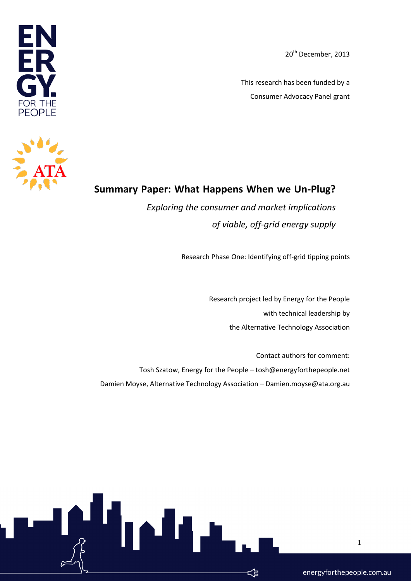20<sup>th</sup> December, 2013

This research has been funded by a Consumer Advocacy Panel grant





## **Summary Paper: What Happens When we Un-Plug?**

*Exploring the consumer and market implications of viable, off-grid energy supply*

Research Phase One: Identifying off-grid tipping points

Research project led by Energy for the People with technical leadership by the Alternative Technology Association

Contact authors for comment: Tosh Szatow, Energy for the People – tosh@energyforthepeople.net Damien Moyse, Alternative Technology Association – Damien.moyse@ata.org.au

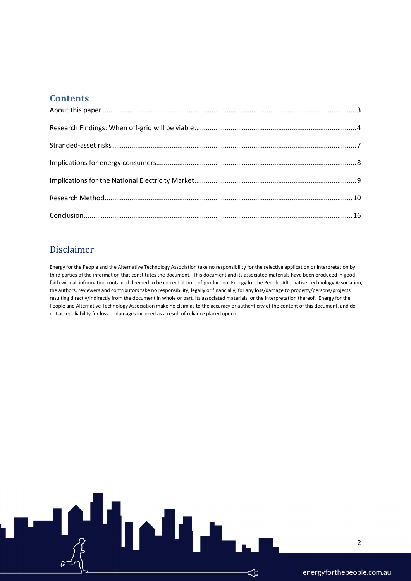#### **Contents**

#### Disclaimer

Energy for the People and the Alternative Technology Association take no responsibility for the selective application or interpretation by third parties of the information that constitutes the document. This document and its associated materials have been produced in good faith with all information contained deemed to be correct at time of production. Energy for the People, Alternative Technology Association, the authors, reviewers and contributors take no responsibility, legally or financially, for any loss/damage to property/persons/projects resulting directly/indirectly from the document in whole or part, its associated materials, or the interpretation thereof. Energy for the People and Alternative Technology Association make no claim as to the accuracy or authenticity of the content of this document, and do not accept liability for loss or damages incurred as a result of reliance placed upon it.

۲

๔ѣ

2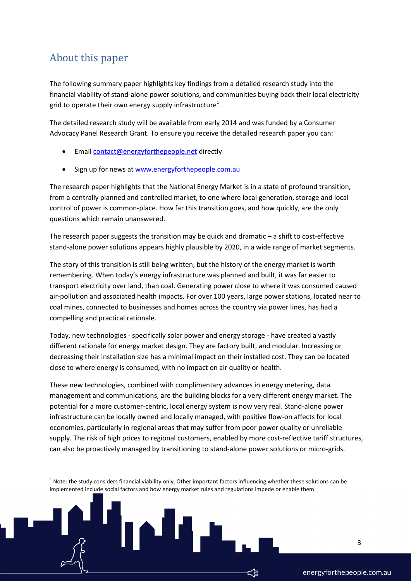## <span id="page-2-0"></span>About this paper

1

The following summary paper highlights key findings from a detailed research study into the financial viability of stand-alone power solutions, and communities buying back their local electricity grid to operate their own energy supply infrastructure<sup>1</sup>.

The detailed research study will be available from early 2014 and was funded by a Consumer Advocacy Panel Research Grant. To ensure you receive the detailed research paper you can:

- Email [contact@energyforthepeople.net](mailto:contact@energyforthepeople.net) directly
- Sign up for news at [www.energyforthepeople.com.au](http://www.energyforthepeople.com.au/)

The research paper highlights that the National Energy Market is in a state of profound transition, from a centrally planned and controlled market, to one where local generation, storage and local control of power is common-place. How far this transition goes, and how quickly, are the only questions which remain unanswered.

The research paper suggests the transition may be quick and dramatic – a shift to cost-effective stand-alone power solutions appears highly plausible by 2020, in a wide range of market segments.

The story of this transition is still being written, but the history of the energy market is worth remembering. When today's energy infrastructure was planned and built, it was far easier to transport electricity over land, than coal. Generating power close to where it was consumed caused air-pollution and associated health impacts. For over 100 years, large power stations, located near to coal mines, connected to businesses and homes across the country via power lines, has had a compelling and practical rationale.

Today, new technologies - specifically solar power and energy storage - have created a vastly different rationale for energy market design. They are factory built, and modular. Increasing or decreasing their installation size has a minimal impact on their installed cost. They can be located close to where energy is consumed, with no impact on air quality or health.

These new technologies, combined with complimentary advances in energy metering, data management and communications, are the building blocks for a very different energy market. The potential for a more customer-centric, local energy system is now very real. Stand-alone power infrastructure can be locally owned and locally managed, with positive flow-on affects for local economies, particularly in regional areas that may suffer from poor power quality or unreliable supply. The risk of high prices to regional customers, enabled by more cost-reflective tariff structures, can also be proactively managed by transitioning to stand-alone power solutions or micro-grids.

 $1$  Note: the study considers financial viability only. Other important factors influencing whether these solutions can be implemented include social factors and how energy market rules and regulations impede or enable them.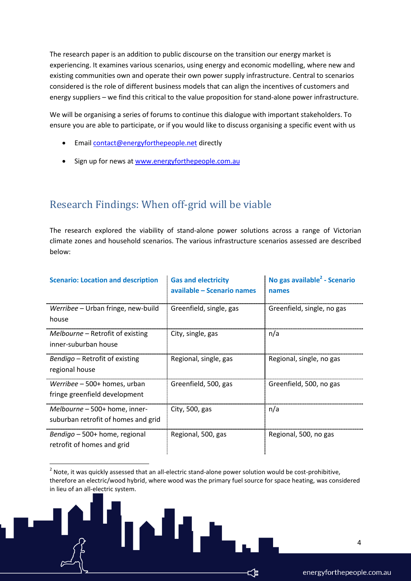The research paper is an addition to public discourse on the transition our energy market is experiencing. It examines various scenarios, using energy and economic modelling, where new and existing communities own and operate their own power supply infrastructure. Central to scenarios considered is the role of different business models that can align the incentives of customers and energy suppliers – we find this critical to the value proposition for stand-alone power infrastructure.

We will be organising a series of forums to continue this dialogue with important stakeholders. To ensure you are able to participate, or if you would like to discuss organising a specific event with us

Email [contact@energyforthepeople.net](mailto:contact@energyforthepeople.net) directly

1

• Sign up for news at [www.energyforthepeople.com.au](http://www.energyforthepeople.com.au/)

# <span id="page-3-0"></span>Research Findings: When off-grid will be viable

The research explored the viability of stand-alone power solutions across a range of Victorian climate zones and household scenarios. The various infrastructure scenarios assessed are described below:

| <b>Scenario: Location and description</b>                            | <b>Gas and electricity</b><br>available - Scenario names | No gas available <sup>2</sup> - Scenario<br>names |
|----------------------------------------------------------------------|----------------------------------------------------------|---------------------------------------------------|
| Werribee – Urban fringe, new-build<br>house                          | Greenfield, single, gas                                  | Greenfield, single, no gas                        |
| Melbourne – Retrofit of existing<br>inner-suburban house             | City, single, gas                                        | n/a                                               |
| Bendigo – Retrofit of existing<br>regional house                     | Regional, single, gas                                    | Regional, single, no gas                          |
| Werribee – 500+ homes, urban<br>fringe greenfield development        | Greenfield, 500, gas                                     | Greenfield, 500, no gas                           |
| Melbourne – 500+ home, inner-<br>suburban retrofit of homes and grid | City, 500, gas                                           | n/a                                               |
| Bendigo - 500+ home, regional<br>retrofit of homes and grid          | Regional, 500, gas                                       | Regional, 500, no gas                             |

 $2$  Note, it was quickly assessed that an all-electric stand-alone power solution would be cost-prohibitive, therefore an electric/wood hybrid, where wood was the primary fuel source for space heating, was considered in lieu of an all-electric system.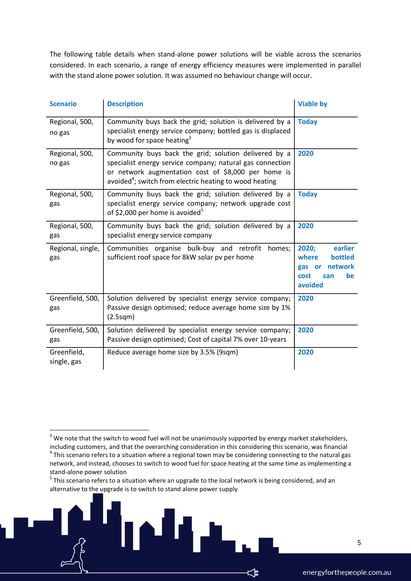The following table details when stand-alone power solutions will be viable across the scenarios considered. In each scenario, a range of energy efficiency measures were implemented in parallel with the stand alone power solution. It was assumed no behaviour change will occur.

| <b>Scenario</b>            | <b>Description</b>                                                                                                                                                                                                                               | <b>Viable by</b>                                                                                    |
|----------------------------|--------------------------------------------------------------------------------------------------------------------------------------------------------------------------------------------------------------------------------------------------|-----------------------------------------------------------------------------------------------------|
| Regional, 500,<br>no gas   | Community buys back the grid; solution is delivered by a<br>specialist energy service company; bottled gas is displaced<br>by wood for space heating <sup>3</sup>                                                                                | <b>Today</b>                                                                                        |
| Regional, 500,<br>no gas   | Community buys back the grid; solution delivered by a<br>specialist energy service company; natural gas connection<br>or network augmentation cost of \$8,000 per home is<br>avoided <sup>4</sup> ; switch from electric heating to wood heating | 2020                                                                                                |
| Regional, 500,<br>gas      | Community buys back the grid; solution delivered by a<br>specialist energy service company; network upgrade cost<br>of \$2,000 per home is avoided <sup>5</sup>                                                                                  | <b>Today</b>                                                                                        |
| Regional, 500,<br>gas      | Community buys back the grid; solution delivered by a<br>specialist energy service company                                                                                                                                                       | 2020                                                                                                |
| Regional, single,<br>gas   | Communities organise bulk-buy and retrofit<br>homes:<br>sufficient roof space for 8kW solar pv per home                                                                                                                                          | 2020;<br>earlier<br>where<br><b>bottled</b><br>network<br>gas<br>or<br>cost<br>be<br>can<br>avoided |
| Greenfield, 500,<br>gas    | Solution delivered by specialist energy service company;<br>Passive design optimised; reduce average home size by 1%<br>(2.5sqm)                                                                                                                 | 2020                                                                                                |
| Greenfield, 500,<br>gas    | Solution delivered by specialist energy service company;<br>Passive design optimised; Cost of capital 7% over 10-years                                                                                                                           | 2020                                                                                                |
| Greenfield,<br>single, gas | Reduce average home size by 3.5% (9sqm)                                                                                                                                                                                                          | 2020                                                                                                |

1

 $3$  We note that the switch to wood fuel will not be unanimously supported by energy market stakeholders, including customers, and that the overarching consideration in this considering this scenario, was financial  $^4$  This scenario refers to a situation where a regional town may be considering connecting to the natural gas network, and instead, chooses to switch to wood fuel for space heating at the same time as implementing a

stand-alone power solution

<sup>&</sup>lt;sup>5</sup> This scenario refers to a situation where an upgrade to the local network is being considered, and an alternative to the upgrade is to switch to stand alone power supply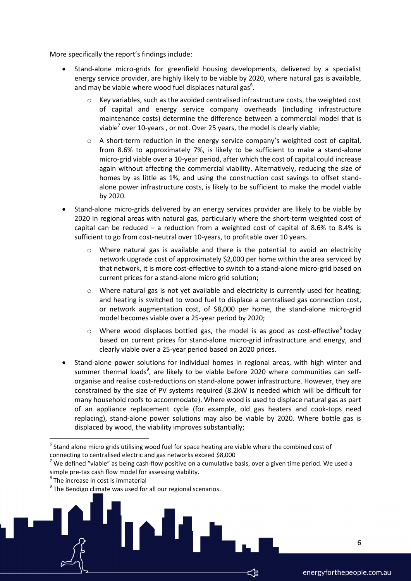More specifically the report's findings include:

- Stand-alone micro-grids for greenfield housing developments, delivered by a specialist energy service provider, are highly likely to be viable by 2020, where natural gas is available, and may be viable where wood fuel displaces natural gas $<sup>6</sup>$ .</sup>
	- Key variables, such as the avoided centralised infrastructure costs, the weighted cost of capital and energy service company overheads (including infrastructure maintenance costs) determine the difference between a commercial model that is viable<sup>7</sup> over 10-years , or not. Over 25 years, the model is clearly viable;
	- $\circ$  A short-term reduction in the energy service company's weighted cost of capital, from 8.6% to approximately 7%, is likely to be sufficient to make a stand-alone micro-grid viable over a 10-year period, after which the cost of capital could increase again without affecting the commercial viability. Alternatively, reducing the size of homes by as little as 1%, and using the construction cost savings to offset standalone power infrastructure costs, is likely to be sufficient to make the model viable by 2020.
- Stand-alone micro-grids delivered by an energy services provider are likely to be viable by 2020 in regional areas with natural gas, particularly where the short-term weighted cost of capital can be reduced – a reduction from a weighted cost of capital of 8.6% to 8.4% is sufficient to go from cost-neutral over 10-years, to profitable over 10 years.
	- $\circ$  Where natural gas is available and there is the potential to avoid an electricity network upgrade cost of approximately \$2,000 per home within the area serviced by that network, it is more cost-effective to switch to a stand-alone micro-grid based on current prices for a stand-alone micro grid solution;
	- o Where natural gas is not yet available and electricity is currently used for heating; and heating is switched to wood fuel to displace a centralised gas connection cost, or network augmentation cost, of \$8,000 per home, the stand-alone micro-grid model becomes viable over a 25-year period by 2020;
	- $\circ$  Where wood displaces bottled gas, the model is as good as cost-effective<sup>8</sup> today based on current prices for stand-alone micro-grid infrastructure and energy, and clearly viable over a 25-year period based on 2020 prices.
- Stand-alone power solutions for individual homes in regional areas, with high winter and summer thermal loads<sup>9</sup>, are likely to be viable before 2020 where communities can selforganise and realise cost-reductions on stand-alone power infrastructure. However, they are constrained by the size of PV systems required (8.2kW is needed which will be difficult for many household roofs to accommodate). Where wood is used to displace natural gas as part of an appliance replacement cycle (for example, old gas heaters and cook-tops need replacing), stand-alone power solutions may also be viable by 2020. Where bottle gas is displaced by wood, the viability improves substantially;

**.** 

 $^6$  Stand alone micro grids utilising wood fuel for space heating are viable where the combined cost of connecting to centralised electric and gas networks exceed \$8,000

 $<sup>7</sup>$  We defined "viable" as being cash-flow positive on a cumulative basis, over a given time period. We used a</sup> simple pre-tax cash flow model for assessing viability.

<sup>&</sup>lt;sup>8</sup> The increase in cost is immaterial

<sup>&</sup>lt;sup>9</sup> The Bendigo climate was used for all our regional scenarios.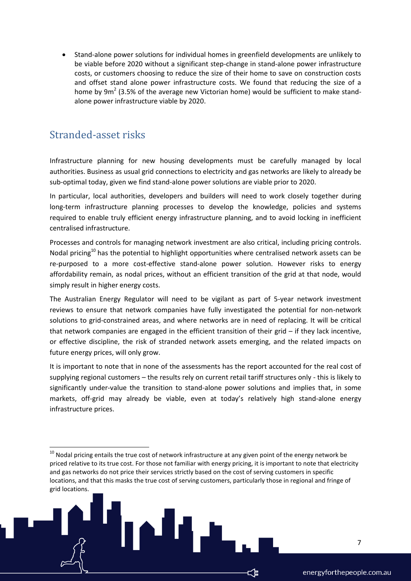Stand-alone power solutions for individual homes in greenfield developments are unlikely to be viable before 2020 without a significant step-change in stand-alone power infrastructure costs, or customers choosing to reduce the size of their home to save on construction costs and offset stand alone power infrastructure costs. We found that reducing the size of a home by  $9m^2$  (3.5% of the average new Victorian home) would be sufficient to make standalone power infrastructure viable by 2020.

### <span id="page-6-0"></span>Stranded-asset risks

1

Infrastructure planning for new housing developments must be carefully managed by local authorities. Business as usual grid connections to electricity and gas networks are likely to already be sub-optimal today, given we find stand-alone power solutions are viable prior to 2020.

In particular, local authorities, developers and builders will need to work closely together during long-term infrastructure planning processes to develop the knowledge, policies and systems required to enable truly efficient energy infrastructure planning, and to avoid locking in inefficient centralised infrastructure.

Processes and controls for managing network investment are also critical, including pricing controls. Nodal pricing<sup>10</sup> has the potential to highlight opportunities where centralised network assets can be re-purposed to a more cost-effective stand-alone power solution. However risks to energy affordability remain, as nodal prices, without an efficient transition of the grid at that node, would simply result in higher energy costs.

The Australian Energy Regulator will need to be vigilant as part of 5-year network investment reviews to ensure that network companies have fully investigated the potential for non-network solutions to grid-constrained areas, and where networks are in need of replacing. It will be critical that network companies are engaged in the efficient transition of their grid – if they lack incentive, or effective discipline, the risk of stranded network assets emerging, and the related impacts on future energy prices, will only grow.

It is important to note that in none of the assessments has the report accounted for the real cost of supplying regional customers – the results rely on current retail tariff structures only - this is likely to significantly under-value the transition to stand-alone power solutions and implies that, in some markets, off-grid may already be viable, even at today's relatively high stand-alone energy infrastructure prices.

 $10$  Nodal pricing entails the true cost of network infrastructure at any given point of the energy network be priced relative to its true cost. For those not familiar with energy pricing, it is important to note that electricity and gas networks do not price their services strictly based on the cost of serving customers in specific locations, and that this masks the true cost of serving customers, particularly those in regional and fringe of grid locations.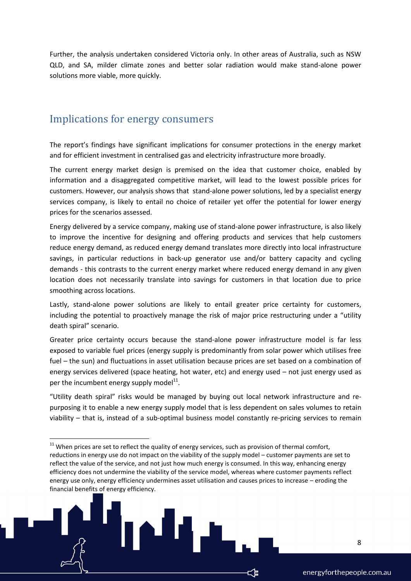Further, the analysis undertaken considered Victoria only. In other areas of Australia, such as NSW QLD, and SA, milder climate zones and better solar radiation would make stand-alone power solutions more viable, more quickly.

#### <span id="page-7-0"></span>Implications for energy consumers

**.** 

The report's findings have significant implications for consumer protections in the energy market and for efficient investment in centralised gas and electricity infrastructure more broadly.

The current energy market design is premised on the idea that customer choice, enabled by information and a disaggregated competitive market, will lead to the lowest possible prices for customers. However, our analysis shows that stand-alone power solutions, led by a specialist energy services company, is likely to entail no choice of retailer yet offer the potential for lower energy prices for the scenarios assessed.

Energy delivered by a service company, making use of stand-alone power infrastructure, is also likely to improve the incentive for designing and offering products and services that help customers reduce energy demand, as reduced energy demand translates more directly into local infrastructure savings, in particular reductions in back-up generator use and/or battery capacity and cycling demands - this contrasts to the current energy market where reduced energy demand in any given location does not necessarily translate into savings for customers in that location due to price smoothing across locations.

Lastly, stand-alone power solutions are likely to entail greater price certainty for customers, including the potential to proactively manage the risk of major price restructuring under a "utility death spiral" scenario.

Greater price certainty occurs because the stand-alone power infrastructure model is far less exposed to variable fuel prices (energy supply is predominantly from solar power which utilises free fuel – the sun) and fluctuations in asset utilisation because prices are set based on a combination of energy services delivered (space heating, hot water, etc) and energy used – not just energy used as per the incumbent energy supply model $^{11}$ .

"Utility death spiral" risks would be managed by buying out local network infrastructure and repurposing it to enable a new energy supply model that is less dependent on sales volumes to retain viability – that is, instead of a sub-optimal business model constantly re-pricing services to remain

 $11$  When prices are set to reflect the quality of energy services, such as provision of thermal comfort, reductions in energy use do not impact on the viability of the supply model – customer payments are set to reflect the value of the service, and not just how much energy is consumed. In this way, enhancing energy efficiency does not undermine the viability of the service model, whereas where customer payments reflect energy use only, energy efficiency undermines asset utilisation and causes prices to increase – eroding the financial benefits of energy efficiency.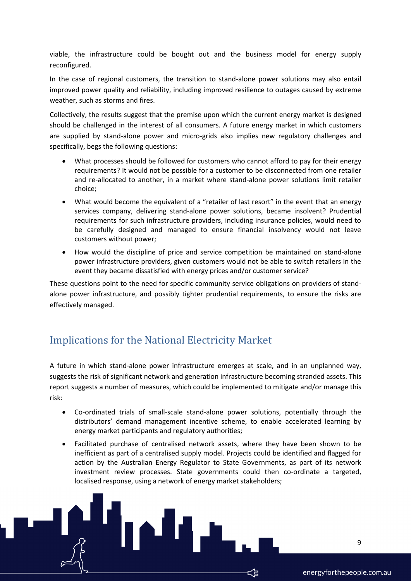viable, the infrastructure could be bought out and the business model for energy supply reconfigured.

In the case of regional customers, the transition to stand-alone power solutions may also entail improved power quality and reliability, including improved resilience to outages caused by extreme weather, such as storms and fires.

Collectively, the results suggest that the premise upon which the current energy market is designed should be challenged in the interest of all consumers. A future energy market in which customers are supplied by stand-alone power and micro-grids also implies new regulatory challenges and specifically, begs the following questions:

- What processes should be followed for customers who cannot afford to pay for their energy requirements? It would not be possible for a customer to be disconnected from one retailer and re-allocated to another, in a market where stand-alone power solutions limit retailer choice;
- What would become the equivalent of a "retailer of last resort" in the event that an energy services company, delivering stand-alone power solutions, became insolvent? Prudential requirements for such infrastructure providers, including insurance policies, would need to be carefully designed and managed to ensure financial insolvency would not leave customers without power;
- How would the discipline of price and service competition be maintained on stand-alone power infrastructure providers, given customers would not be able to switch retailers in the event they became dissatisfied with energy prices and/or customer service?

These questions point to the need for specific community service obligations on providers of standalone power infrastructure, and possibly tighter prudential requirements, to ensure the risks are effectively managed.

# <span id="page-8-0"></span>Implications for the National Electricity Market

A future in which stand-alone power infrastructure emerges at scale, and in an unplanned way, suggests the risk of significant network and generation infrastructure becoming stranded assets. This report suggests a number of measures, which could be implemented to mitigate and/or manage this risk:

- Co-ordinated trials of small-scale stand-alone power solutions, potentially through the distributors' demand management incentive scheme, to enable accelerated learning by energy market participants and regulatory authorities;
- Facilitated purchase of centralised network assets, where they have been shown to be inefficient as part of a centralised supply model. Projects could be identified and flagged for action by the Australian Energy Regulator to State Governments, as part of its network investment review processes. State governments could then co-ordinate a targeted, localised response, using a network of energy market stakeholders;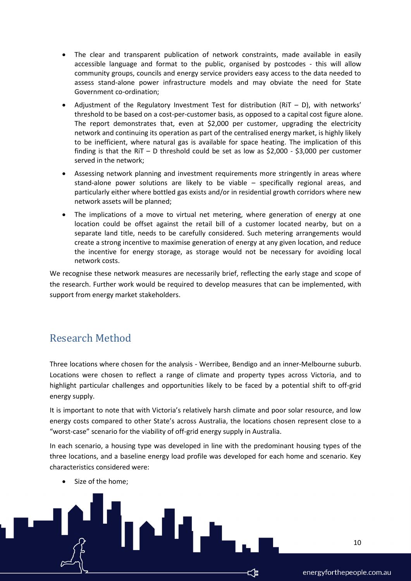- The clear and transparent publication of network constraints, made available in easily accessible language and format to the public, organised by postcodes - this will allow community groups, councils and energy service providers easy access to the data needed to assess stand-alone power infrastructure models and may obviate the need for State Government co-ordination;
- Adjustment of the Regulatory Investment Test for distribution (RiT D), with networks' threshold to be based on a cost-per-customer basis, as opposed to a capital cost figure alone. The report demonstrates that, even at \$2,000 per customer, upgrading the electricity network and continuing its operation as part of the centralised energy market, is highly likely to be inefficient, where natural gas is available for space heating. The implication of this finding is that the RiT – D threshold could be set as low as  $$2,000$  -  $$3,000$  per customer served in the network;
- Assessing network planning and investment requirements more stringently in areas where stand-alone power solutions are likely to be viable – specifically regional areas, and particularly either where bottled gas exists and/or in residential growth corridors where new network assets will be planned;
- The implications of a move to virtual net metering, where generation of energy at one location could be offset against the retail bill of a customer located nearby, but on a separate land title, needs to be carefully considered. Such metering arrangements would create a strong incentive to maximise generation of energy at any given location, and reduce the incentive for energy storage, as storage would not be necessary for avoiding local network costs.

We recognise these network measures are necessarily brief, reflecting the early stage and scope of the research. Further work would be required to develop measures that can be implemented, with support from energy market stakeholders.

## <span id="page-9-0"></span>Research Method

Three locations where chosen for the analysis - Werribee, Bendigo and an inner-Melbourne suburb. Locations were chosen to reflect a range of climate and property types across Victoria, and to highlight particular challenges and opportunities likely to be faced by a potential shift to off-grid energy supply.

It is important to note that with Victoria's relatively harsh climate and poor solar resource, and low energy costs compared to other State's across Australia, the locations chosen represent close to a "worst-case" scenario for the viability of off-grid energy supply in Australia.

In each scenario, a housing type was developed in line with the predominant housing types of the three locations, and a baseline energy load profile was developed for each home and scenario. Key characteristics considered were:

Size of the home;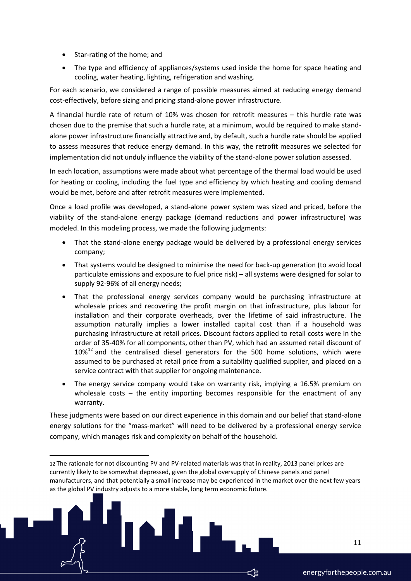• Star-rating of the home; and

**.** 

 The type and efficiency of appliances/systems used inside the home for space heating and cooling, water heating, lighting, refrigeration and washing.

For each scenario, we considered a range of possible measures aimed at reducing energy demand cost-effectively, before sizing and pricing stand-alone power infrastructure.

A financial hurdle rate of return of 10% was chosen for retrofit measures – this hurdle rate was chosen due to the premise that such a hurdle rate, at a minimum, would be required to make standalone power infrastructure financially attractive and, by default, such a hurdle rate should be applied to assess measures that reduce energy demand. In this way, the retrofit measures we selected for implementation did not unduly influence the viability of the stand-alone power solution assessed.

In each location, assumptions were made about what percentage of the thermal load would be used for heating or cooling, including the fuel type and efficiency by which heating and cooling demand would be met, before and after retrofit measures were implemented.

Once a load profile was developed, a stand-alone power system was sized and priced, before the viability of the stand-alone energy package (demand reductions and power infrastructure) was modeled. In this modeling process, we made the following judgments:

- That the stand-alone energy package would be delivered by a professional energy services company;
- That systems would be designed to minimise the need for back-up generation (to avoid local particulate emissions and exposure to fuel price risk) – all systems were designed for solar to supply 92-96% of all energy needs;
- That the professional energy services company would be purchasing infrastructure at wholesale prices and recovering the profit margin on that infrastructure, plus labour for installation and their corporate overheads, over the lifetime of said infrastructure. The assumption naturally implies a lower installed capital cost than if a household was purchasing infrastructure at retail prices. Discount factors applied to retail costs were in the order of 35-40% for all components, other than PV, which had an assumed retail discount of  $10\%$ <sup>12</sup> and the centralised diesel generators for the 500 home solutions, which were assumed to be purchased at retail price from a suitability qualified supplier, and placed on a service contract with that supplier for ongoing maintenance.
- The energy service company would take on warranty risk, implying a 16.5% premium on wholesale costs  $-$  the entity importing becomes responsible for the enactment of any warranty.

These judgments were based on our direct experience in this domain and our belief that stand-alone energy solutions for the "mass-market" will need to be delivered by a professional energy service company, which manages risk and complexity on behalf of the household.

<sup>12</sup> The rationale for not discounting PV and PV-related materials was that in reality, 2013 panel prices are currently likely to be somewhat depressed, given the global oversupply of Chinese panels and panel manufacturers, and that potentially a small increase may be experienced in the market over the next few years as the global PV industry adjusts to a more stable, long term economic future.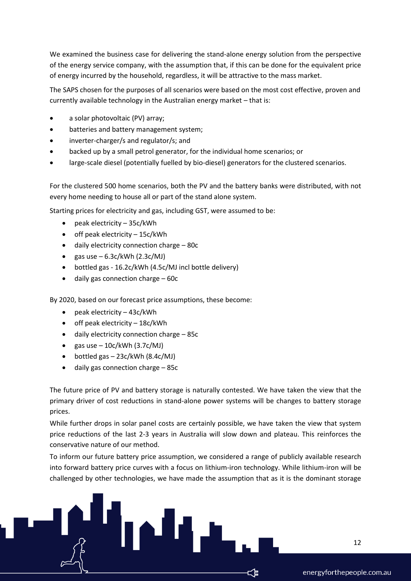We examined the business case for delivering the stand-alone energy solution from the perspective of the energy service company, with the assumption that, if this can be done for the equivalent price of energy incurred by the household, regardless, it will be attractive to the mass market.

The SAPS chosen for the purposes of all scenarios were based on the most cost effective, proven and currently available technology in the Australian energy market – that is:

- a solar photovoltaic (PV) array;
- batteries and battery management system;
- inverter-charger/s and regulator/s; and
- backed up by a small petrol generator, for the individual home scenarios; or
- large-scale diesel (potentially fuelled by bio-diesel) generators for the clustered scenarios.

For the clustered 500 home scenarios, both the PV and the battery banks were distributed, with not every home needing to house all or part of the stand alone system.

Starting prices for electricity and gas, including GST, were assumed to be:

- $\bullet$  peak electricity 35c/kWh
- $\bullet$  off peak electricity  $-15c/kWh$
- daily electricity connection charge 80c
- gas use  $-6.3c/kWh$  (2.3 $c/MJ$ )
- bottled gas 16.2c/kWh (4.5c/MJ incl bottle delivery)
- daily gas connection charge 60c

By 2020, based on our forecast price assumptions, these become:

- peak electricity 43c/kWh
- $\bullet$  off peak electricity 18c/kWh
- daily electricity connection charge 85c
- gas use  $-10c/kWh$  (3.7 $c/MJ$ )
- $\bullet$  bottled gas  $-$  23c/kWh (8.4c/MJ)
- daily gas connection charge 85c

The future price of PV and battery storage is naturally contested. We have taken the view that the primary driver of cost reductions in stand-alone power systems will be changes to battery storage prices.

While further drops in solar panel costs are certainly possible, we have taken the view that system price reductions of the last 2-3 years in Australia will slow down and plateau. This reinforces the conservative nature of our method.

To inform our future battery price assumption, we considered a range of publicly available research into forward battery price curves with a focus on lithium-iron technology. While lithium-iron will be challenged by other technologies, we have made the assumption that as it is the dominant storage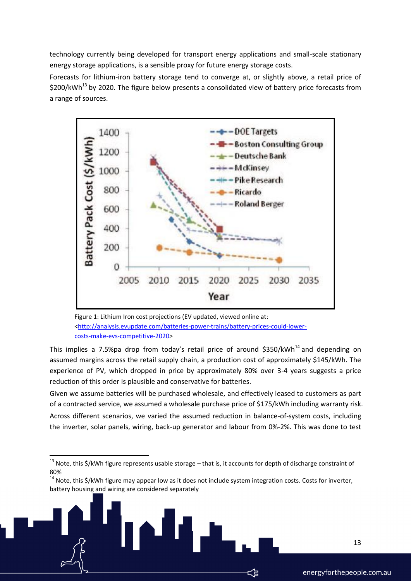technology currently being developed for transport energy applications and small-scale stationary energy storage applications, is a sensible proxy for future energy storage costs.

Forecasts for lithium-iron battery storage tend to converge at, or slightly above, a retail price of  $$200/kWh<sup>13</sup>$  by 2020. The figure below presents a consolidated view of battery price forecasts from a range of sources.



Figure 1: Lithium Iron cost projections (EV updated, viewed online at: [<http://analysis.evupdate.com/batteries-power-trains/battery-prices-could-lower](http://analysis.evupdate.com/batteries-power-trains/battery-prices-could-lower-costs-make-evs-competitive-2020)[costs-make-evs-competitive-2020>](http://analysis.evupdate.com/batteries-power-trains/battery-prices-could-lower-costs-make-evs-competitive-2020)

This implies a 7.5%pa drop from today's retail price of around  $$350/kWh<sup>14</sup>$  and depending on assumed margins across the retail supply chain, a production cost of approximately \$145/kWh. The experience of PV, which dropped in price by approximately 80% over 3-4 years suggests a price reduction of this order is plausible and conservative for batteries.

Given we assume batteries will be purchased wholesale, and effectively leased to customers as part of a contracted service, we assumed a wholesale purchase price of \$175/kWh including warranty risk. Across different scenarios, we varied the assumed reduction in balance-of-system costs, including the inverter, solar panels, wiring, back-up generator and labour from 0%-2%. This was done to test

**.** 

13

<sup>&</sup>lt;sup>13</sup> Note, this \$/kWh figure represents usable storage – that is, it accounts for depth of discharge constraint of 80%

<sup>&</sup>lt;sup>14</sup> Note, this \$/kWh figure may appear low as it does not include system integration costs. Costs for inverter, battery housing and wiring are considered separately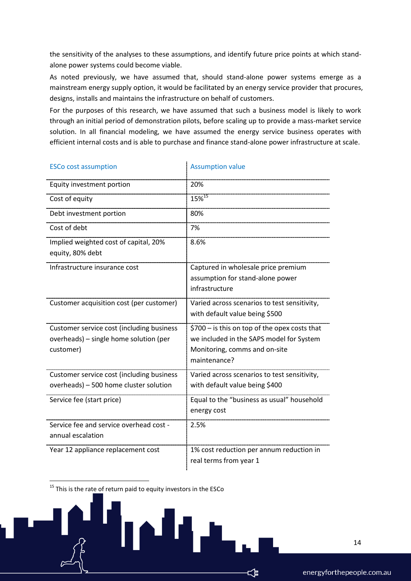the sensitivity of the analyses to these assumptions, and identify future price points at which standalone power systems could become viable.

As noted previously, we have assumed that, should stand-alone power systems emerge as a mainstream energy supply option, it would be facilitated by an energy service provider that procures, designs, installs and maintains the infrastructure on behalf of customers.

For the purposes of this research, we have assumed that such a business model is likely to work through an initial period of demonstration pilots, before scaling up to provide a mass-market service solution. In all financial modeling, we have assumed the energy service business operates with efficient internal costs and is able to purchase and finance stand-alone power infrastructure at scale.

| <b>ESCo cost assumption</b>                                                                      | <b>Assumption value</b>                                                                                                                    |
|--------------------------------------------------------------------------------------------------|--------------------------------------------------------------------------------------------------------------------------------------------|
| Equity investment portion                                                                        | 20%                                                                                                                                        |
| Cost of equity                                                                                   | $15\%^{15}$                                                                                                                                |
| Debt investment portion                                                                          | 80%                                                                                                                                        |
| Cost of debt                                                                                     | 7%                                                                                                                                         |
| Implied weighted cost of capital, 20%<br>equity, 80% debt                                        | 8.6%                                                                                                                                       |
| Infrastructure insurance cost                                                                    | Captured in wholesale price premium<br>assumption for stand-alone power<br>infrastructure                                                  |
| Customer acquisition cost (per customer)                                                         | Varied across scenarios to test sensitivity,<br>with default value being \$500                                                             |
| Customer service cost (including business<br>overheads) - single home solution (per<br>customer) | \$700 - is this on top of the opex costs that<br>we included in the SAPS model for System<br>Monitoring, comms and on-site<br>maintenance? |
| Customer service cost (including business<br>overheads) - 500 home cluster solution              | Varied across scenarios to test sensitivity,<br>with default value being \$400                                                             |
| Service fee (start price)                                                                        | Equal to the "business as usual" household<br>energy cost                                                                                  |
| Service fee and service overhead cost -<br>annual escalation                                     | 2.5%                                                                                                                                       |
| Year 12 appliance replacement cost                                                               | 1% cost reduction per annum reduction in<br>real terms from year 1                                                                         |

 $15$  This is the rate of return paid to equity investors in the ESCo

 $\overline{a}$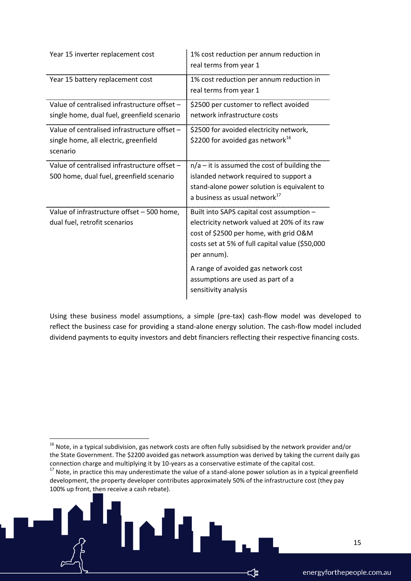| Year 15 inverter replacement cost                                                                 | 1% cost reduction per annum reduction in<br>real terms from year 1                                                                                                                                    |
|---------------------------------------------------------------------------------------------------|-------------------------------------------------------------------------------------------------------------------------------------------------------------------------------------------------------|
| Year 15 battery replacement cost                                                                  | 1% cost reduction per annum reduction in<br>real terms from year 1                                                                                                                                    |
| Value of centralised infrastructure offset -<br>single home, dual fuel, greenfield scenario       | \$2500 per customer to reflect avoided<br>network infrastructure costs                                                                                                                                |
| Value of centralised infrastructure offset -<br>single home, all electric, greenfield<br>scenario | \$2500 for avoided electricity network,<br>\$2200 for avoided gas network <sup>16</sup>                                                                                                               |
| Value of centralised infrastructure offset -<br>500 home, dual fuel, greenfield scenario          | $n/a$ – it is assumed the cost of building the<br>islanded network required to support a<br>stand-alone power solution is equivalent to<br>a business as usual network <sup>17</sup>                  |
| Value of infrastructure offset - 500 home,<br>dual fuel, retrofit scenarios                       | Built into SAPS capital cost assumption -<br>electricity network valued at 20% of its raw<br>cost of \$2500 per home, with grid O&M<br>costs set at 5% of full capital value (\$50,000<br>per annum). |
|                                                                                                   | A range of avoided gas network cost<br>assumptions are used as part of a<br>sensitivity analysis                                                                                                      |

Using these business model assumptions, a simple (pre-tax) cash-flow model was developed to reflect the business case for providing a stand-alone energy solution. The cash-flow model included dividend payments to equity investors and debt financiers reflecting their respective financing costs.

**.** 

 $^{16}$  Note, in a typical subdivision, gas network costs are often fully subsidised by the network provider and/or the State Government. The \$2200 avoided gas network assumption was derived by taking the current daily gas connection charge and multiplying it by 10-years as a conservative estimate of the capital cost.

 $17$  Note, in practice this may underestimate the value of a stand-alone power solution as in a typical greenfield development, the property developer contributes approximately 50% of the infrastructure cost (they pay 100% up front, then receive a cash rebate).